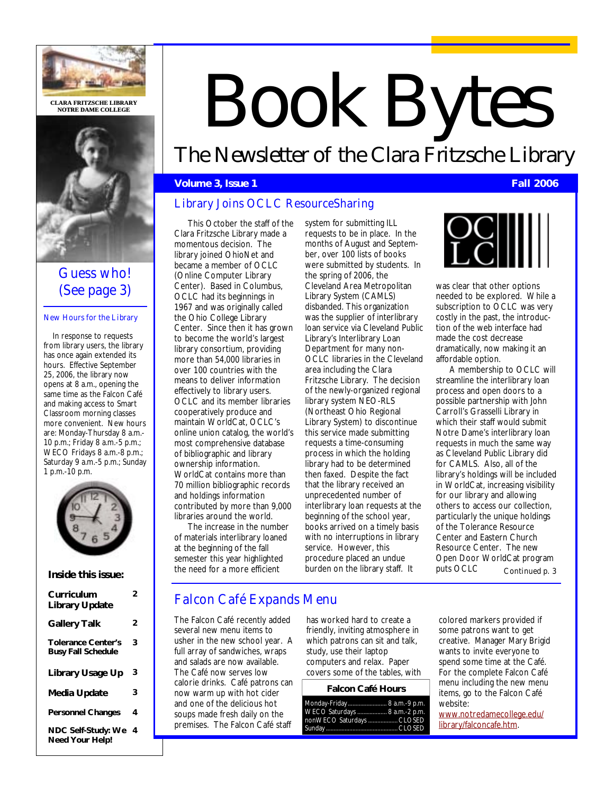

**CLARA FRITZSCHE LIBR CLARA LIBRARY NOTRE DAME COLLEGE** 



## Guess who! (See page 3)

### New Hours for the Library

In response to requests from library users, the library has once again extended its hours. Effective September 25, 2006, the library now opens at 8 a.m., opening the same time as the Falcon Café and making access to Smart Classroom morning classes more convenient. New hours are: Monday-Thursday 8 a.m.- 10 p.m.; Friday 8 a.m.-5 p.m.; WECO Fridays 8 a.m.-8 p.m.; Saturday 9 a.m.-5 p.m.; Sunday 1 p.m.-10 p.m.



## **Inside this issue:**

| Curriculum<br>Library Update                           | 2 |
|--------------------------------------------------------|---|
| <b>Gallery Talk</b>                                    | 2 |
| <b>Tolerance Center's</b><br><b>Busy Fall Schedule</b> | 3 |
| <b>Library Usage Up</b>                                | 3 |
| Media Update                                           | 3 |
| <b>Personnel Changes</b>                               | 4 |
| <b>NDC Self-Study: We</b><br><b>Need Your Help!</b>    | 4 |

# Book Bytes

# The Newsletter of the Clara Fritzsche Library

## **Volume 3, Issue 1 Fall 2006 Fall 2006**

## Library Joins OCLC ResourceSharing

This October the staff of the Clara Fritzsche Library made a momentous decision. The library joined OhioNet and became a member of OCLC (Online Computer Library Center). Based in Columbus, OCLC had its beginnings in 1967 and was originally called the Ohio College Library Center. Since then it has grown to become the world's largest library consortium, providing more than 54,000 libraries in over 100 countries with the means to deliver information effectively to library users. OCLC and its member libraries cooperatively produce and maintain WorldCat, OCLC's online union catalog, the world's most comprehensive database of bibliographic and library ownership information. WorldCat contains more than 70 million bibliographic records and holdings information contributed by more than 9,000 libraries around the world.

The increase in the number of materials interlibrary loaned at the beginning of the fall semester this year highlighted the need for a more efficient

system for submitting ILL requests to be in place. In the months of August and September, over 100 lists of books were submitted by students. In the spring of 2006, the Cleveland Area Metropolitan Library System (CAMLS) disbanded. This organization was the supplier of interlibrary loan service via Cleveland Public Library's Interlibrary Loan Department for many non-OCLC libraries in the Cleveland area including the Clara Fritzsche Library. The decision of the newly-organized regional library system NEO-RLS (Northeast Ohio Regional Library System) to discontinue this service made submitting requests a time-consuming process in which the holding library had to be determined then faxed. Despite the fact that the library received an unprecedented number of interlibrary loan requests at the beginning of the school year, books arrived on a timely basis with no interruptions in library service. However, this procedure placed an undue burden on the library staff. It



was clear that other options needed to be explored. While a subscription to OCLC was very costly in the past, the introduction of the web interface had made the cost decrease dramatically, now making it an affordable option.

A membership to OCLC will streamline the interlibrary loan process and open doors to a possible partnership with John Carroll's Grasselli Library in which their staff would submit Notre Dame's interlibrary loan requests in much the same way as Cleveland Public Library did for CAMLS. Also, all of the library's holdings will be included in WorldCat, increasing visibility for our library and allowing others to access our collection, particularly the unique holdings of the Tolerance Resource Center and Eastern Church Resource Center. The new Open Door WorldCat program puts OCLC Continued p. 3

## Falcon Café Expands Menu

The Falcon Café recently added several new menu items to usher in the new school year. A full array of sandwiches, wraps and salads are now available. The Café now serves low calorie drinks. Café patrons can now warm up with hot cider and one of the delicious hot soups made fresh daily on the premises. The Falcon Café staff

has worked hard to create a friendly, inviting atmosphere in which patrons can sit and talk, study, use their laptop computers and relax. Paper covers some of the tables, with

## **Falcon Café Hours**

| Monday-Friday 8 a.m.-9 p.m.   |  |
|-------------------------------|--|
| WECO Saturdays  8 a.m.-2 p.m. |  |
| nonWECO Saturdays  CLOSED     |  |
|                               |  |

colored markers provided if some patrons want to get creative. Manager Mary Brigid wants to invite everyone to spend some time at the Café. For the complete Falcon Café menu including the new menu items, go to the Falcon Café website:

www.notredamecollege.edu/ library/falconcafe.htm.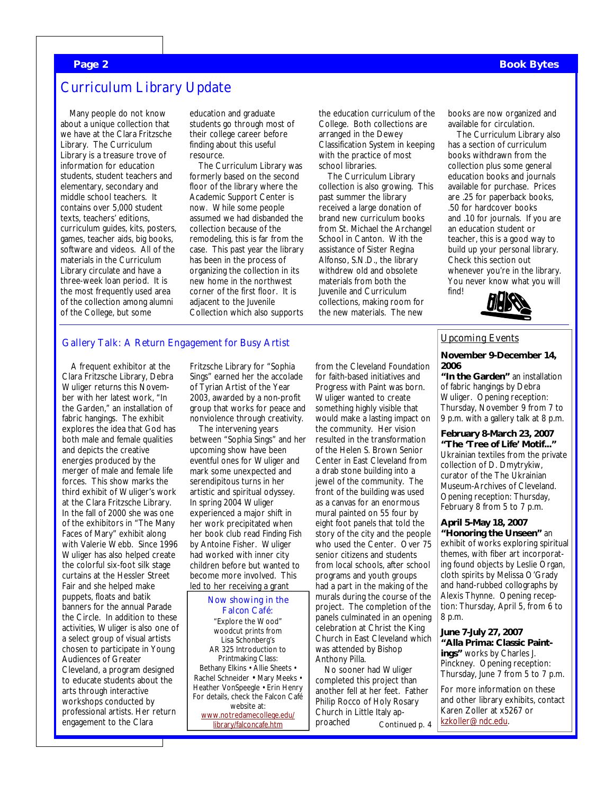## Curriculum Library Update

Many people do not know about a unique collection that we have at the Clara Fritzsche Library. The Curriculum Library is a treasure trove of information for education students, student teachers and elementary, secondary and middle school teachers. It contains over 5,000 student texts, teachers' editions, curriculum guides, kits, posters, games, teacher aids, big books, software and videos. All of the materials in the Curriculum Library circulate and have a three-week loan period. It is the most frequently used area of the collection among alumni of the College, but some

education and graduate students go through most of their college career before finding about this useful resource.

The Curriculum Library was formerly based on the second floor of the library where the Academic Support Center is now. While some people assumed we had disbanded the collection because of the remodeling, this is far from the case. This past year the library has been in the process of organizing the collection in its new home in the northwest corner of the first floor. It is adiacent to the Juvenile Collection which also supports

the education curriculum of the College. Both collections are arranged in the Dewey Classification System in keeping with the practice of most school libraries.

The Curriculum Library collection is also growing. This past summer the library received a large donation of brand new curriculum books from St. Michael the Archangel School in Canton. With the assistance of Sister Regina Alfonso, S.N.D., the library withdrew old and obsolete materials from both the Juvenile and Curriculum collections, making room for the new materials. The new

books are now organized and available for circulation.

The Curriculum Library also has a section of curriculum books withdrawn from the collection plus some general education books and journals available for purchase. Prices are .25 for paperback books, .50 for hardcover books and .10 for journals. If you are an education student or teacher, this is a good way to build up your personal library. Check this section out whenever you're in the library. You never know what you will find!



## Gallery Talk: A Return Engagement for Busy Artist

A frequent exhibitor at the Clara Fritzsche Library, Debra Wuliger returns this November with her latest work, "In the Garden," an installation of fabric hangings. The exhibit explores the idea that God has both male and female qualities and depicts the creative energies produced by the merger of male and female life forces. This show marks the third exhibit of Wuliger's work at the Clara Fritzsche Library. In the fall of 2000 she was one of the exhibitors in "The Many Faces of Mary" exhibit along with Valerie Webb. Since 1996 Wuliger has also helped create the colorful six-foot silk stage curtains at the Hessler Street Fair and she helped make puppets, floats and batik banners for the annual Parade the Circle. In addition to these activities, Wuliger is also one of a select group of visual artists chosen to participate in Young Audiences of Greater Cleveland, a program designed to educate students about the arts through interactive workshops conducted by professional artists. Her return engagement to the Clara

Fritzsche Library for "Sophia Sings" earned her the accolade of Tyrian Artist of the Year 2003, awarded by a non-profit group that works for peace and nonviolence through creativity.

The intervening years between "Sophia Sings" and her upcoming show have been eventful ones for Wuliger and mark some unexpected and serendipitous turns in her artistic and spiritual odyssey. In spring 2004 Wuliger experienced a major shift in her work precipitated when her book club read *Finding Fish*  by Antoine Fisher. Wuliger had worked with inner city children before but wanted to become more involved. This led to her receiving a grant

## Now showing in the Falcon Café: "Explore the Wood"

woodcut prints from Lisa Schonberg's AR 325 Introduction to Printmaking Class: Bethany Elkins • Allie Sheets • Rachel Schneider • Mary Meeks • Heather VonSpeegle • Erin Henry For details, check the Falcon Café website at:

www.notredamecollege.edu/ library/falconcafe.htm

from the Cleveland Foundation for faith-based initiatives and Progress with Paint was born. Wuliger wanted to create something highly visible that would make a lasting impact on the community. Her vision resulted in the transformation of the Helen S. Brown Senior Center in East Cleveland from a drab stone building into a jewel of the community. The front of the building was used as a canvas for an enormous mural painted on 55 four by eight foot panels that told the story of the city and the people who used the Center. Over 75 senior citizens and students from local schools, after school programs and youth groups had a part in the making of the murals during the course of the project. The completion of the panels culminated in an opening celebration at Christ the King Church in East Cleveland which was attended by Bishop Anthony Pilla.

No sooner had Wuliger completed this project than another fell at her feet. Father Philip Rocco of Holy Rosary Church in Little Italy approached **Continued p. 4**  Upcoming Events

**November 9-December 14, 2006** 

**"In the Garden"** an installation of fabric hangings by Debra Wuliger. Opening reception: Thursday, November 9 from 7 to 9 p.m. with a gallery talk at 8 p.m.

**February 8-March 23, 2007 "The 'Tree of Life' Motif..."**  Ukrainian textiles from the private collection of D. Dmytrykiw, curator of the The Ukrainian Museum-Archives of Cleveland. Opening reception: Thursday, February 8 from 5 to 7 p.m.

## **April 5-May 18, 2007 "Honoring the Unseen"** an exhibit of works exploring spiritual

themes, with fiber art incorporating found objects by Leslie Organ, cloth spirits by Melissa O'Grady and hand-rubbed collographs by Alexis Thynne. Opening reception: Thursday, April 5, from 6 to 8 p.m.

**June 7-July 27, 2007 "Alla Prima: Classic Paintings"** works by Charles J. Pinckney. Opening reception: Thursday, June 7 from 5 to 7 p.m.

For more information on these and other library exhibits, contact Karen Zoller at x5267 or kzkoller@ndc.edu.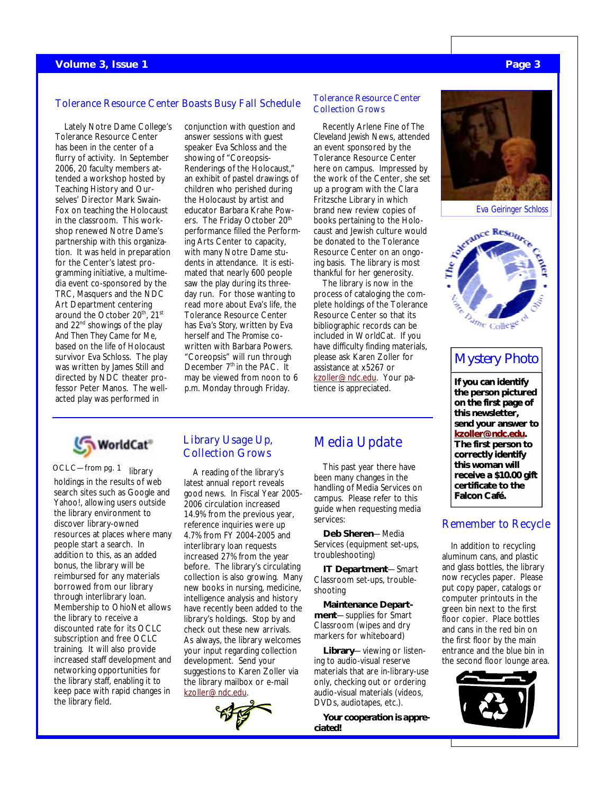## **Volume 3, Issue 1 Page 3**

## Tolerance Resource Center Boasts Busy Fall Schedule

Lately Notre Dame College's Tolerance Resource Center has been in the center of a flurry of activity. In September 2006, 20 faculty members attended a workshop hosted by Teaching History and Ourselves' Director Mark Swain-Fox on teaching the Holocaust in the classroom. This workshop renewed Notre Dame's partnership with this organization. It was held in preparation for the Center's latest programming initiative, a multimedia event co-sponsored by the TRC, Masquers and the NDC Art Department centering around the October 20<sup>th</sup>, 21<sup>st</sup> and 22<sup>nd</sup> showings of the play *And Then They Came for Me,*  based on the life of Holocaust survivor Eva Schloss. The play was written by James Still and directed by NDC theater professor Peter Manos. The wellacted play was performed in

conjunction with question and answer sessions with guest speaker Eva Schloss and the showing of "Coreopsis-Renderings of the Holocaust," an exhibit of pastel drawings of children who perished during the Holocaust by artist and educator Barbara Krahe Powers. The Friday October 20<sup>th</sup> performance filled the Performing Arts Center to capacity, with many Notre Dame students in attendance. It is estimated that nearly 600 people saw the play during its threeday run. For those wanting to read more about Eva's life, the Tolerance Resource Center has *Eva's Story,* written by Eva herself and *The Promise* cowritten with Barbara Powers. "Coreopsis" will run through December 7<sup>th</sup> in the PAC. It may be viewed from noon to 6 p.m. Monday through Friday.

## Tolerance Resource Center Collection Grows

Recently Arlene Fine of *The Cleveland Jewish* News, attended an event sponsored by the Tolerance Resource Center here on campus. Impressed by the work of the Center, she set up a program with the Clara Fritzsche Library in which brand new review copies of books pertaining to the Holocaust and Jewish culture would be donated to the Tolerance Resource Center on an ongoing basis. The library is most thankful for her generosity.

The library is now in the process of cataloging the complete holdings of the Tolerance Resource Center so that its bibliographic records can be included in WorldCat. If you have difficulty finding materials, please ask Karen Zoller for assistance at x5267 or kzoller@ndc.edu. Your patience is appreciated.



*Eva Geiringer Schloss* 



## Mystery Photo

**If you can identify the person pictured pictured the person pictured on the first page of** this newsletter, send your answer to **kzoller@ndc.edu kzoller@ndc.edukzoller@ndc.edu. The first person to correctly identify correctly identify this woman will this woman will will**  receive a \$10.00 gift certificate to the **Falcon Café. Falcon Café.**

## Remember to Recycle

In addition to recycling aluminum cans, and plastic and glass bottles, the library now recycles paper. Please put copy paper, catalogs or computer printouts in the green bin next to the first floor copier. Place bottles and cans in the red bin on the first floor by the main entrance and the blue bin in the second floor lounge area.



# **WorldCat<sup>®</sup>**

**OCLC—from pg. 1** library holdings in the results of web search sites such as Google and Yahoo!, allowing users outside the library environment to discover library-owned resources at places where many people start a search. In addition to this, as an added bonus, the library will be reimbursed for any materials borrowed from our library through interlibrary loan. Membership to OhioNet allows the library to receive a discounted rate for its OCLC subscription and free OCLC training. It will also provide increased staff development and networking opportunities for the library staff, enabling it to keep pace with rapid changes in the library field.

## Library Usage Up, Collection Grows

A reading of the library's latest annual report reveals good news. In Fiscal Year 2005- 2006 circulation increased 14.9% from the previous year, reference inquiries were up 4.7% from FY 2004-2005 and interlibrary loan requests increased 27% from the year before. The library's circulating collection is also growing. Many new books in nursing, medicine, intelligence analysis and history have recently been added to the library's holdings. Stop by and check out these new arrivals. As always, the library welcomes your input regarding collection development. Send your suggestions to Karen Zoller via the library mailbox or e-mail kzoller@ndc.edu.



# Media Update

This past year there have been many changes in the handling of Media Services on campus. Please refer to this guide when requesting media services:

**Deb Sheren**—Media Services (equipment set-ups, troubleshooting)

**IT Department**—Smart Classroom set-ups, troubleshooting

**Maintenance Department**—supplies for Smart Classroom (wipes and dry markers for whiteboard)

**Library**—viewing or listening to audio-visual reserve materials that are in-library-use only, checking out or ordering audio-visual materials (videos, DVDs, audiotapes, etc.).

*Your cooperation is appreciated!*